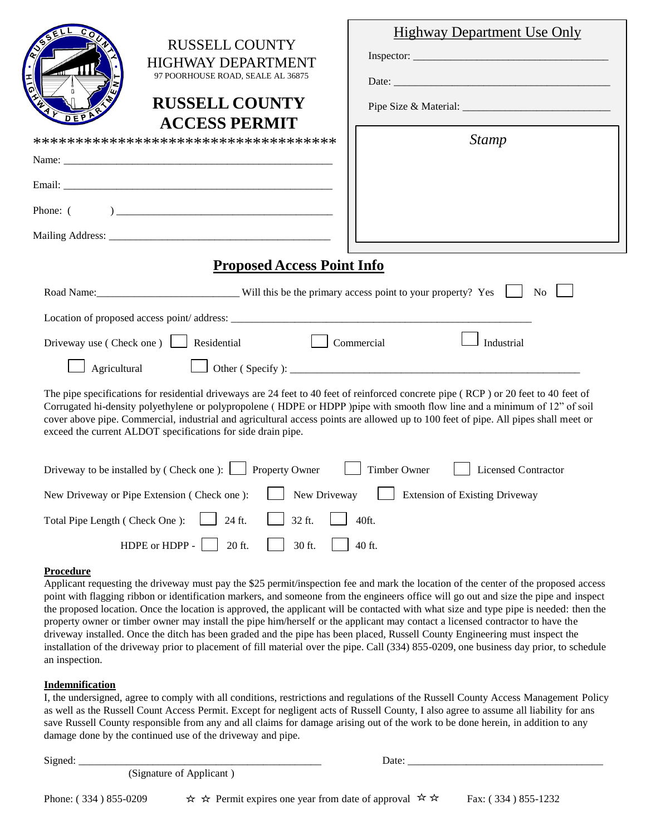| ۵<br>DE                                                                                                                                                                                                                                                                                                                                                                                                                                                                  | <b>RUSSELL COUNTY</b><br><b>HIGHWAY DEPARTMENT</b><br>97 POORHOUSE ROAD, SEALE AL 36875<br><b>RUSSELL COUNTY</b><br><b>ACCESS PERMIT</b><br>************************************* | <b>Highway Department Use Only</b><br><b>Stamp</b> |
|--------------------------------------------------------------------------------------------------------------------------------------------------------------------------------------------------------------------------------------------------------------------------------------------------------------------------------------------------------------------------------------------------------------------------------------------------------------------------|-----------------------------------------------------------------------------------------------------------------------------------------------------------------------------------|----------------------------------------------------|
|                                                                                                                                                                                                                                                                                                                                                                                                                                                                          |                                                                                                                                                                                   |                                                    |
| Phone: (                                                                                                                                                                                                                                                                                                                                                                                                                                                                 |                                                                                                                                                                                   |                                                    |
|                                                                                                                                                                                                                                                                                                                                                                                                                                                                          |                                                                                                                                                                                   |                                                    |
| <b>Proposed Access Point Info</b>                                                                                                                                                                                                                                                                                                                                                                                                                                        |                                                                                                                                                                                   |                                                    |
| Road Name: Will this be the primary access point to your property? Yes<br>N <sub>0</sub>                                                                                                                                                                                                                                                                                                                                                                                 |                                                                                                                                                                                   |                                                    |
|                                                                                                                                                                                                                                                                                                                                                                                                                                                                          |                                                                                                                                                                                   |                                                    |
| Driveway use (Check one) $\Box$<br>Residential<br>Commercial<br>Industrial                                                                                                                                                                                                                                                                                                                                                                                               |                                                                                                                                                                                   |                                                    |
| Agricultural                                                                                                                                                                                                                                                                                                                                                                                                                                                             |                                                                                                                                                                                   |                                                    |
| The pipe specifications for residential driveways are 24 feet to 40 feet of reinforced concrete pipe (RCP) or 20 feet to 40 feet of<br>Corrugated hi-density polyethylene or polypropolene (HDPE or HDPP) pipe with smooth flow line and a minimum of 12" of soil<br>cover above pipe. Commercial, industrial and agricultural access points are allowed up to 100 feet of pipe. All pipes shall meet or<br>exceed the current ALDOT specifications for side drain pipe. |                                                                                                                                                                                   |                                                    |
| Driveway to be installed by (Check one): Property Owner<br><b>Timber Owner</b><br><b>Licensed Contractor</b>                                                                                                                                                                                                                                                                                                                                                             |                                                                                                                                                                                   |                                                    |
| New Driveway<br>New Driveway or Pipe Extension (Check one):<br><b>Extension of Existing Driveway</b>                                                                                                                                                                                                                                                                                                                                                                     |                                                                                                                                                                                   |                                                    |
| Total Pipe Length (Check One): 24 ft.<br>32 ft.<br>40ft.                                                                                                                                                                                                                                                                                                                                                                                                                 |                                                                                                                                                                                   |                                                    |

## **Procedure**

Applicant requesting the driveway must pay the \$25 permit/inspection fee and mark the location of the center of the proposed access point with flagging ribbon or identification markers, and someone from the engineers office will go out and size the pipe and inspect the proposed location. Once the location is approved, the applicant will be contacted with what size and type pipe is needed: then the property owner or timber owner may install the pipe him/herself or the applicant may contact a licensed contractor to have the driveway installed. Once the ditch has been graded and the pipe has been placed, Russell County Engineering must inspect the installation of the driveway prior to placement of fill material over the pipe. Call (334) 855-0209, one business day prior, to schedule an inspection.

HDPE or HDPP -  $\Box$  20 ft.  $\Box$  30 ft.  $\Box$  40 ft.

## **Indemnification**

I, the undersigned, agree to comply with all conditions, restrictions and regulations of the Russell County Access Management Policy as well as the Russell Count Access Permit. Except for negligent acts of Russell County, I also agree to assume all liability for ans save Russell County responsible from any and all claims for damage arising out of the work to be done herein, in addition to any damage done by the continued use of the driveway and pipe.

Signed: \_\_\_\_\_\_\_\_\_\_\_\_\_\_\_\_\_\_\_\_\_\_\_\_\_\_\_\_\_\_\_\_\_\_\_\_\_\_\_\_\_\_\_\_\_\_ Date: \_\_\_\_\_\_\_\_\_\_\_\_\_\_\_\_\_\_\_\_\_\_\_\_\_\_\_\_\_\_\_\_\_\_\_\_\_

(Signature of Applicant )